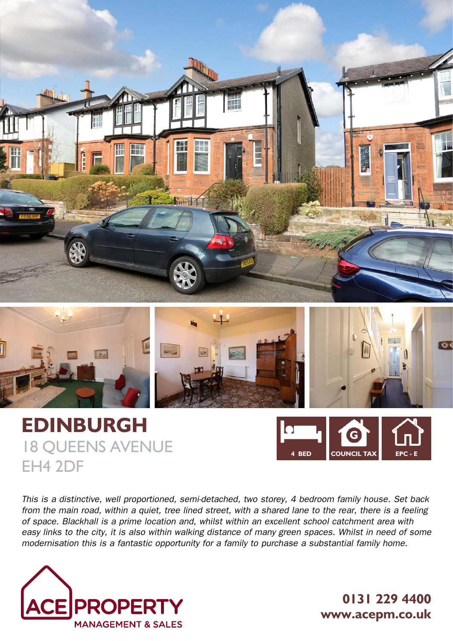



# **EDINBURGH** 18 QUEENS AVENUE EH4 2DF



*This is a distinctive, well proportioned, semi-detached, two storey, 4 bedroom family house. Set back from the main road, within a quiet, tree lined street, with a shared lane to the rear, there is a feeling of space. Blackhall is a prime location and, whilst within an excellent school catchment area with*  easy links to the city, it is also within walking distance of many green spaces. Whilst in need of some *modernisation this is a fantastic opportunity for a family to purchase a substantial family home.*



**0131 229 4400 www.acepm.co.uk**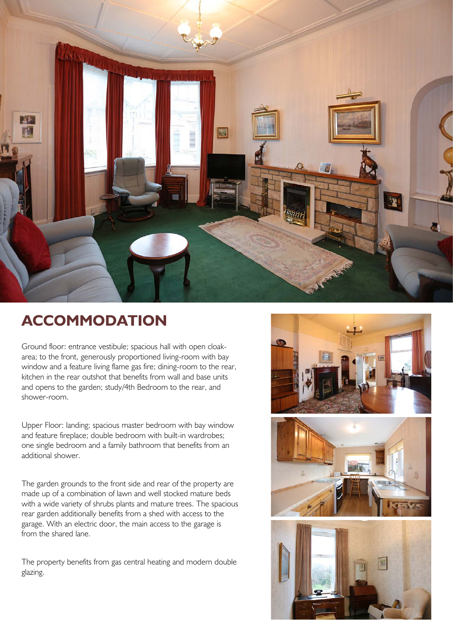

## **ACCOMMODATION**

Ground floor: entrance vestibule; spacious hall with open cloakarea; to the front, generously proportioned living-room with bay window and a feature living flame gas fire; dining-room to the rear, kitchen in the rear outshot that benefits from wall and base units and opens to the garden; study/4th Bedroom to the rear, and shower-room.

Upper Floor: landing; spacious master bedroom with bay window and feature fireplace; double bedroom with built-in wardrobes; one single bedroom and a family bathroom that benefits from an additional shower.

The garden grounds to the front side and rear of the property are made up of a combination of lawn and well stocked mature beds with a wide variety of shrubs plants and mature trees. The spacious rear garden additionally benefits from a shed with access to the garage. With an electric door, the main access to the garage is from the shared lane.

The property benefits from gas central heating and modern double glazing.



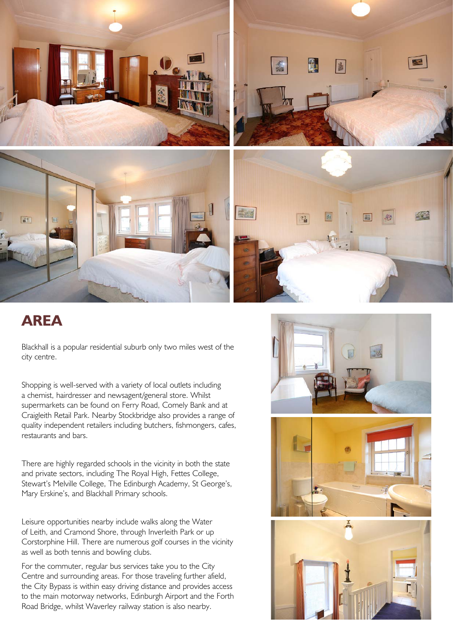

### **AREA**

Blackhall is a popular residential suburb only two miles west of the city centre.

Shopping is well-served with a variety of local outlets including a chemist, hairdresser and newsagent/general store. Whilst supermarkets can be found on Ferry Road, Comely Bank and at Craigleith Retail Park. Nearby Stockbridge also provides a range of quality independent retailers including butchers, fishmongers, cafes, restaurants and bars.

There are highly regarded schools in the vicinity in both the state and private sectors, including The Royal High, Fettes College, Stewart's Melville College, The Edinburgh Academy, St George's, Mary Erskine's, and Blackhall Primary schools.

Leisure opportunities nearby include walks along the Water of Leith, and Cramond Shore, through Inverleith Park or up Corstorphine Hill. There are numerous golf courses in the vicinity as well as both tennis and bowling clubs.

For the commuter, regular bus services take you to the City Centre and surrounding areas. For those traveling further afield, the City Bypass is within easy driving distance and provides access to the main motorway networks, Edinburgh Airport and the Forth Road Bridge, whilst Waverley railway station is also nearby.